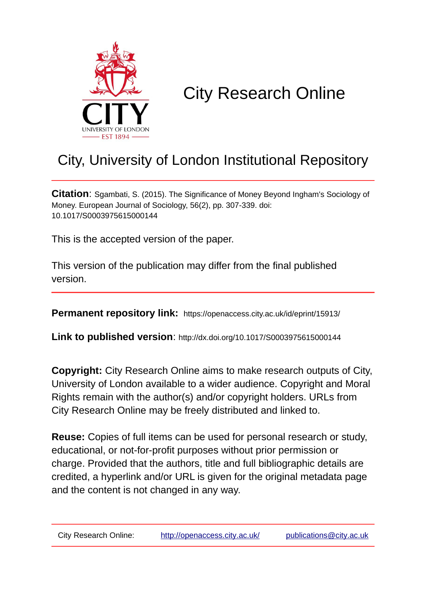

# City Research Online

## City, University of London Institutional Repository

**Citation**: Sgambati, S. (2015). The Significance of Money Beyond Ingham's Sociology of Money. European Journal of Sociology, 56(2), pp. 307-339. doi: 10.1017/S0003975615000144

This is the accepted version of the paper.

This version of the publication may differ from the final published version.

**Permanent repository link:** https://openaccess.city.ac.uk/id/eprint/15913/

**Link to published version**: http://dx.doi.org/10.1017/S0003975615000144

**Copyright:** City Research Online aims to make research outputs of City, University of London available to a wider audience. Copyright and Moral Rights remain with the author(s) and/or copyright holders. URLs from City Research Online may be freely distributed and linked to.

**Reuse:** Copies of full items can be used for personal research or study, educational, or not-for-profit purposes without prior permission or charge. Provided that the authors, title and full bibliographic details are credited, a hyperlink and/or URL is given for the original metadata page and the content is not changed in any way.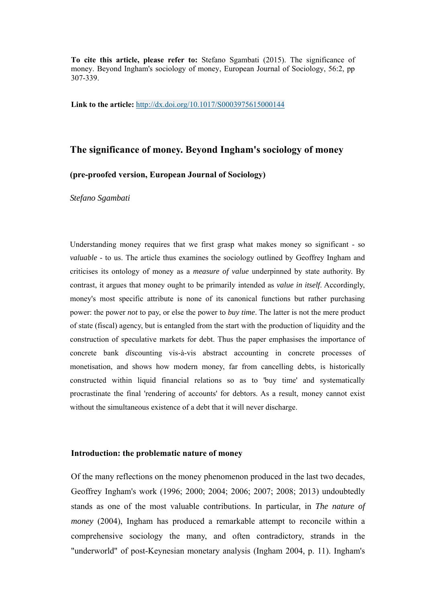**To cite this article, please refer to:** Stefano Sgambati (2015). The significance of money. Beyond Ingham's sociology of money, European Journal of Sociology, 56:2, pp 307-339.

**Link to the article:** http://dx.doi.org/10.1017/S0003975615000144

### **The significance of money. Beyond Ingham's sociology of money**

#### **(pre-proofed version, European Journal of Sociology)**

*Stefano Sgambati* 

Understanding money requires that we first grasp what makes money so significant - so *valuable* - to us. The article thus examines the sociology outlined by Geoffrey Ingham and criticises its ontology of money as a *measure of value* underpinned by state authority. By contrast, it argues that money ought to be primarily intended as *value in itself*. Accordingly, money's most specific attribute is none of its canonical functions but rather purchasing power: the power *not* to pay, or else the power to *buy time*. The latter is not the mere product of state (fiscal) agency, but is entangled from the start with the production of liquidity and the construction of speculative markets for debt. Thus the paper emphasises the importance of concrete bank *dis*counting vis-à-vis abstract accounting in concrete processes of monetisation, and shows how modern money, far from cancelling debts, is historically constructed within liquid financial relations so as to 'buy time' and systematically procrastinate the final 'rendering of accounts' for debtors. As a result, money cannot exist without the simultaneous existence of a debt that it will never discharge.

#### **Introduction: the problematic nature of money**

Of the many reflections on the money phenomenon produced in the last two decades, Geoffrey Ingham's work (1996; 2000; 2004; 2006; 2007; 2008; 2013) undoubtedly stands as one of the most valuable contributions. In particular, in *The nature of money* (2004), Ingham has produced a remarkable attempt to reconcile within a comprehensive sociology the many, and often contradictory, strands in the "underworld" of post-Keynesian monetary analysis (Ingham 2004, p. 11). Ingham's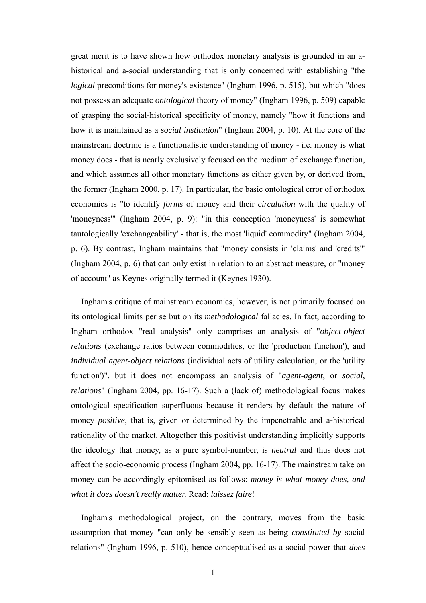great merit is to have shown how orthodox monetary analysis is grounded in an ahistorical and a-social understanding that is only concerned with establishing "the *logical* preconditions for money's existence" (Ingham 1996, p. 515), but which "does not possess an adequate *ontological* theory of money" (Ingham 1996, p. 509) capable of grasping the social-historical specificity of money, namely "how it functions and how it is maintained as a *social institution*" (Ingham 2004, p. 10). At the core of the mainstream doctrine is a functionalistic understanding of money - i.e. money is what money does - that is nearly exclusively focused on the medium of exchange function, and which assumes all other monetary functions as either given by, or derived from, the former (Ingham 2000, p. 17). In particular, the basic ontological error of orthodox economics is "to identify *forms* of money and their *circulation* with the quality of 'moneyness'" (Ingham 2004, p. 9): "in this conception 'moneyness' is somewhat tautologically 'exchangeability' - that is, the most 'liquid' commodity" (Ingham 2004, p. 6). By contrast, Ingham maintains that "money consists in 'claims' and 'credits'" (Ingham 2004, p. 6) that can only exist in relation to an abstract measure, or "money of account" as Keynes originally termed it (Keynes 1930).

Ingham's critique of mainstream economics, however, is not primarily focused on its ontological limits per se but on its *methodological* fallacies. In fact, according to Ingham orthodox "real analysis" only comprises an analysis of "*object-object relations* (exchange ratios between commodities, or the 'production function'), and *individual agent-object relations* (individual acts of utility calculation, or the 'utility function')", but it does not encompass an analysis of "*agent-agent*, or *social*, *relations*" (Ingham 2004, pp. 16-17). Such a (lack of) methodological focus makes ontological specification superfluous because it renders by default the nature of money *positive*, that is, given or determined by the impenetrable and a-historical rationality of the market. Altogether this positivist understanding implicitly supports the ideology that money, as a pure symbol-number, is *neutral* and thus does not affect the socio-economic process (Ingham 2004, pp. 16-17). The mainstream take on money can be accordingly epitomised as follows: *money is what money does, and what it does doesn't really matter.* Read: *laissez faire*!

Ingham's methodological project, on the contrary, moves from the basic assumption that money "can only be sensibly seen as being *constituted by* social relations" (Ingham 1996, p. 510), hence conceptualised as a social power that *does*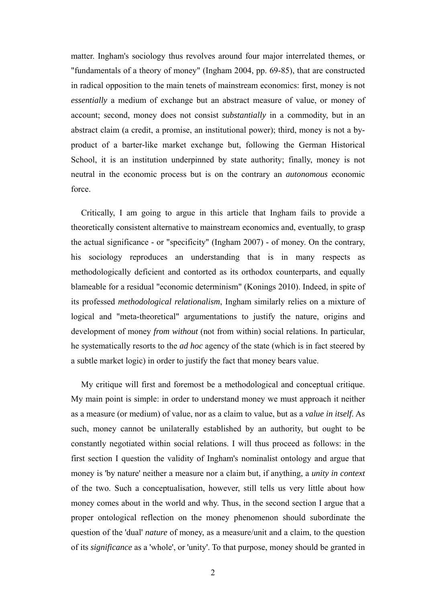matter. Ingham's sociology thus revolves around four major interrelated themes, or "fundamentals of a theory of money" (Ingham 2004, pp. 69-85), that are constructed in radical opposition to the main tenets of mainstream economics: first, money is not *essentially* a medium of exchange but an abstract measure of value, or money of account; second, money does not consist *substantially* in a commodity, but in an abstract claim (a credit, a promise, an institutional power); third, money is not a byproduct of a barter-like market exchange but, following the German Historical School, it is an institution underpinned by state authority; finally, money is not neutral in the economic process but is on the contrary an *autonomous* economic force.

Critically, I am going to argue in this article that Ingham fails to provide a theoretically consistent alternative to mainstream economics and, eventually, to grasp the actual significance - or "specificity" (Ingham 2007) - of money. On the contrary, his sociology reproduces an understanding that is in many respects as methodologically deficient and contorted as its orthodox counterparts, and equally blameable for a residual "economic determinism" (Konings 2010). Indeed, in spite of its professed *methodological relationalism*, Ingham similarly relies on a mixture of logical and "meta-theoretical" argumentations to justify the nature, origins and development of money *from without* (not from within) social relations. In particular, he systematically resorts to the *ad hoc* agency of the state (which is in fact steered by a subtle market logic) in order to justify the fact that money bears value.

My critique will first and foremost be a methodological and conceptual critique. My main point is simple: in order to understand money we must approach it neither as a measure (or medium) of value, nor as a claim to value, but as a *value in itself*. As such, money cannot be unilaterally established by an authority, but ought to be constantly negotiated within social relations. I will thus proceed as follows: in the first section I question the validity of Ingham's nominalist ontology and argue that money is 'by nature' neither a measure nor a claim but, if anything, a *unity in context*  of the two. Such a conceptualisation, however, still tells us very little about how money comes about in the world and why. Thus, in the second section I argue that a proper ontological reflection on the money phenomenon should subordinate the question of the 'dual' *nature* of money, as a measure/unit and a claim, to the question of its *significance* as a 'whole', or 'unity'. To that purpose, money should be granted in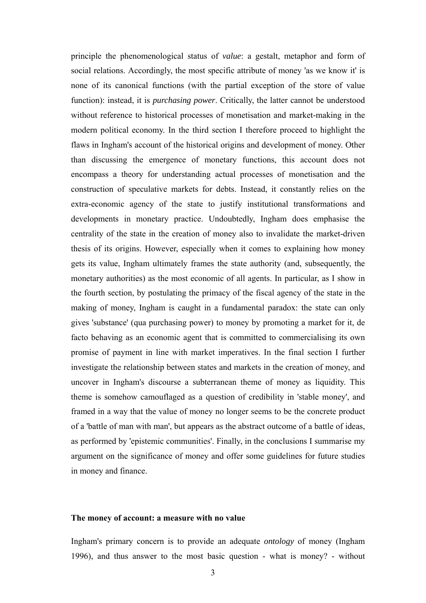principle the phenomenological status of *value*: a gestalt, metaphor and form of social relations. Accordingly, the most specific attribute of money 'as we know it' is none of its canonical functions (with the partial exception of the store of value function): instead, it is *purchasing power*. Critically, the latter cannot be understood without reference to historical processes of monetisation and market-making in the modern political economy. In the third section I therefore proceed to highlight the flaws in Ingham's account of the historical origins and development of money. Other than discussing the emergence of monetary functions, this account does not encompass a theory for understanding actual processes of monetisation and the construction of speculative markets for debts. Instead, it constantly relies on the extra-economic agency of the state to justify institutional transformations and developments in monetary practice. Undoubtedly, Ingham does emphasise the centrality of the state in the creation of money also to invalidate the market-driven thesis of its origins. However, especially when it comes to explaining how money gets its value, Ingham ultimately frames the state authority (and, subsequently, the monetary authorities) as the most economic of all agents. In particular, as I show in the fourth section, by postulating the primacy of the fiscal agency of the state in the making of money, Ingham is caught in a fundamental paradox: the state can only gives 'substance' (qua purchasing power) to money by promoting a market for it, de facto behaving as an economic agent that is committed to commercialising its own promise of payment in line with market imperatives. In the final section I further investigate the relationship between states and markets in the creation of money, and uncover in Ingham's discourse a subterranean theme of money as liquidity. This theme is somehow camouflaged as a question of credibility in 'stable money', and framed in a way that the value of money no longer seems to be the concrete product of a 'battle of man with man', but appears as the abstract outcome of a battle of ideas, as performed by 'epistemic communities'. Finally, in the conclusions I summarise my argument on the significance of money and offer some guidelines for future studies in money and finance.

#### **The money of account: a measure with no value**

Ingham's primary concern is to provide an adequate *ontology* of money (Ingham 1996), and thus answer to the most basic question - what is money? - without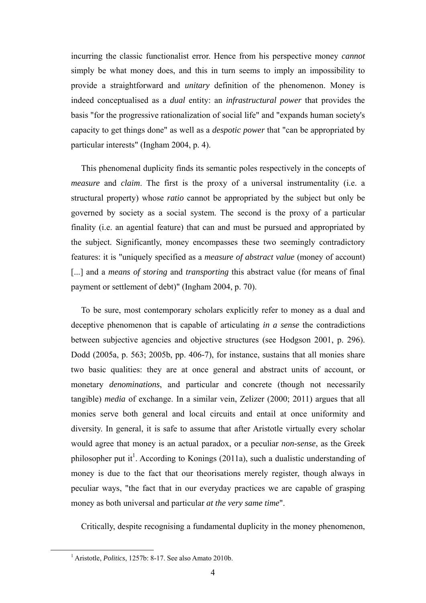incurring the classic functionalist error. Hence from his perspective money *cannot* simply be what money does, and this in turn seems to imply an impossibility to provide a straightforward and *unitary* definition of the phenomenon. Money is indeed conceptualised as a *dual* entity: an *infrastructural power* that provides the basis "for the progressive rationalization of social life" and "expands human society's capacity to get things done" as well as a *despotic power* that "can be appropriated by particular interests" (Ingham 2004, p. 4).

This phenomenal duplicity finds its semantic poles respectively in the concepts of *measure* and *claim*. The first is the proxy of a universal instrumentality (i.e. a structural property) whose *ratio* cannot be appropriated by the subject but only be governed by society as a social system. The second is the proxy of a particular finality (i.e. an agential feature) that can and must be pursued and appropriated by the subject. Significantly, money encompasses these two seemingly contradictory features: it is "uniquely specified as a *measure of abstract value* (money of account) [...] and a *means of storing* and *transporting* this abstract value (for means of final payment or settlement of debt)" (Ingham 2004, p. 70).

To be sure, most contemporary scholars explicitly refer to money as a dual and deceptive phenomenon that is capable of articulating *in a sense* the contradictions between subjective agencies and objective structures (see Hodgson 2001, p. 296). Dodd (2005a, p. 563; 2005b, pp. 406-7), for instance, sustains that all monies share two basic qualities: they are at once general and abstract units of account, or monetary *denominations*, and particular and concrete (though not necessarily tangible) *media* of exchange. In a similar vein, Zelizer (2000; 2011) argues that all monies serve both general and local circuits and entail at once uniformity and diversity. In general, it is safe to assume that after Aristotle virtually every scholar would agree that money is an actual paradox, or a peculiar *non-sense*, as the Greek philosopher put it<sup>1</sup>. According to Konings (2011a), such a dualistic understanding of money is due to the fact that our theorisations merely register, though always in peculiar ways, "the fact that in our everyday practices we are capable of grasping money as both universal and particular *at the very same time*".

Critically, despite recognising a fundamental duplicity in the money phenomenon,

 $\frac{1}{1}$ Aristotle, *Politics*, 1257b: 8-17. See also Amato 2010b.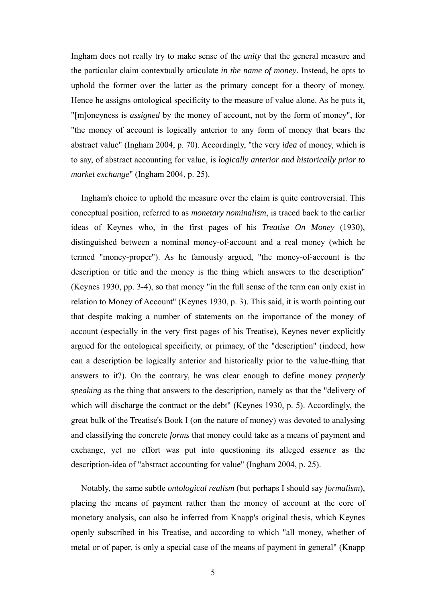Ingham does not really try to make sense of the *unity* that the general measure and the particular claim contextually articulate *in the name of money*. Instead, he opts to uphold the former over the latter as the primary concept for a theory of money. Hence he assigns ontological specificity to the measure of value alone. As he puts it, "[m]oneyness is *assigned* by the money of account, not by the form of money", for "the money of account is logically anterior to any form of money that bears the abstract value" (Ingham 2004, p. 70). Accordingly, "the very *idea* of money, which is to say, of abstract accounting for value, is *logically anterior and historically prior to market exchange*" (Ingham 2004, p. 25).

Ingham's choice to uphold the measure over the claim is quite controversial. This conceptual position, referred to as *monetary nominalism*, is traced back to the earlier ideas of Keynes who, in the first pages of his *Treatise On Money* (1930), distinguished between a nominal money-of-account and a real money (which he termed "money-proper"). As he famously argued, "the money-of-account is the description or title and the money is the thing which answers to the description" (Keynes 1930, pp. 3-4), so that money "in the full sense of the term can only exist in relation to Money of Account" (Keynes 1930, p. 3). This said, it is worth pointing out that despite making a number of statements on the importance of the money of account (especially in the very first pages of his Treatise), Keynes never explicitly argued for the ontological specificity, or primacy, of the "description" (indeed, how can a description be logically anterior and historically prior to the value-thing that answers to it?). On the contrary, he was clear enough to define money *properly speaking* as the thing that answers to the description, namely as that the "delivery of which will discharge the contract or the debt" (Keynes 1930, p. 5). Accordingly, the great bulk of the Treatise's Book I (on the nature of money) was devoted to analysing and classifying the concrete *forms* that money could take as a means of payment and exchange, yet no effort was put into questioning its alleged *essence* as the description-idea of "abstract accounting for value" (Ingham 2004, p. 25).

Notably, the same subtle *ontological realism* (but perhaps I should say *formalism*), placing the means of payment rather than the money of account at the core of monetary analysis, can also be inferred from Knapp's original thesis, which Keynes openly subscribed in his Treatise, and according to which "all money, whether of metal or of paper, is only a special case of the means of payment in general" (Knapp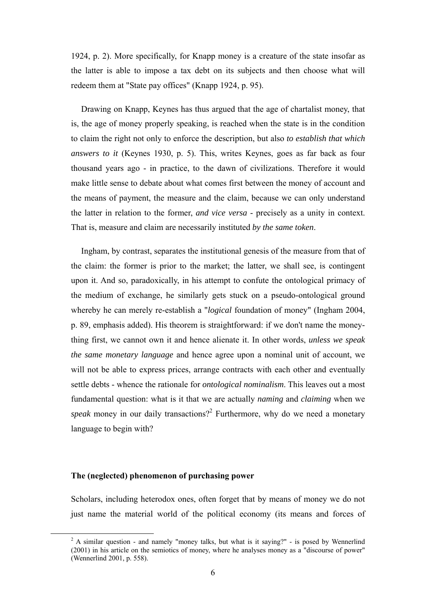1924, p. 2). More specifically, for Knapp money is a creature of the state insofar as the latter is able to impose a tax debt on its subjects and then choose what will redeem them at "State pay offices" (Knapp 1924, p. 95).

Drawing on Knapp, Keynes has thus argued that the age of chartalist money, that is, the age of money properly speaking, is reached when the state is in the condition to claim the right not only to enforce the description, but also *to establish that which answers to it* (Keynes 1930, p. 5). This, writes Keynes, goes as far back as four thousand years ago - in practice, to the dawn of civilizations. Therefore it would make little sense to debate about what comes first between the money of account and the means of payment, the measure and the claim, because we can only understand the latter in relation to the former, *and vice versa* - precisely as a unity in context. That is, measure and claim are necessarily instituted *by the same token*.

Ingham, by contrast, separates the institutional genesis of the measure from that of the claim: the former is prior to the market; the latter, we shall see, is contingent upon it. And so, paradoxically, in his attempt to confute the ontological primacy of the medium of exchange, he similarly gets stuck on a pseudo-ontological ground whereby he can merely re-establish a "*logical* foundation of money" (Ingham 2004, p. 89, emphasis added). His theorem is straightforward: if we don't name the moneything first, we cannot own it and hence alienate it. In other words, *unless we speak the same monetary language* and hence agree upon a nominal unit of account, we will not be able to express prices, arrange contracts with each other and eventually settle debts - whence the rationale for *ontological nominalism*. This leaves out a most fundamental question: what is it that we are actually *naming* and *claiming* when we speak money in our daily transactions?<sup>2</sup> Furthermore, why do we need a monetary language to begin with?

#### **The (neglected) phenomenon of purchasing power**

Scholars, including heterodox ones, often forget that by means of money we do not just name the material world of the political economy (its means and forces of

 $\frac{1}{2}$  $2A$  similar question - and namely "money talks, but what is it saying?" - is posed by Wennerlind (2001) in his article on the semiotics of money, where he analyses money as a "discourse of power" (Wennerlind 2001, p. 558).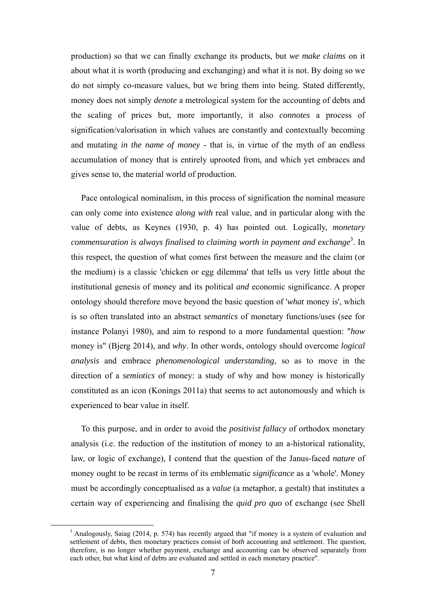production) so that we can finally exchange its products, but *we make claims* on it about what it is worth (producing and exchanging) and what it is not. By doing so we do not simply co-measure values, but we bring them into being. Stated differently, money does not simply *denote* a metrological system for the accounting of debts and the scaling of prices but, more importantly, it also *connotes* a process of signification/valorisation in which values are constantly and contextually becoming and mutating *in the name of money* - that is, in virtue of the myth of an endless accumulation of money that is entirely uprooted from, and which yet embraces and gives sense to, the material world of production.

Pace ontological nominalism, in this process of signification the nominal measure can only come into existence *along with* real value, and in particular along with the value of debts, as Keynes (1930, p. 4) has pointed out. Logically, *monetary* commensuration is always finalised to claiming worth in payment and exchange<sup>3</sup>. In this respect, the question of what comes first between the measure and the claim (or the medium) is a classic 'chicken or egg dilemma' that tells us very little about the institutional genesis of money and its political *and* economic significance. A proper ontology should therefore move beyond the basic question of '*what* money is', which is so often translated into an abstract *semantics* of monetary functions/uses (see for instance Polanyi 1980), and aim to respond to a more fundamental question: "*how*  money is" (Bjerg 2014), and *why*. In other words, ontology should overcome *logical analysis* and embrace *phenomenological understanding*, so as to move in the direction of a *semiotics* of money: a study of why and how money is historically constituted as an icon (Konings 2011a) that seems to act autonomously and which is experienced to bear value in itself.

To this purpose, and in order to avoid the *positivist fallacy* of orthodox monetary analysis (i.e. the reduction of the institution of money to an a-historical rationality, law, or logic of exchange), I contend that the question of the Janus-faced *nature* of money ought to be recast in terms of its emblematic *significance* as a 'whole'. Money must be accordingly conceptualised as a *value* (a metaphor, a gestalt) that institutes a certain way of experiencing and finalising the *quid pro quo* of exchange (see Shell

 $\frac{1}{3}$  $3$  Analogously, Saiag (2014, p. 574) has recently argued that "if money is a system of evaluation and settlement of debts, then monetary practices consist of *both* accounting and settlement. The question, therefore, is no longer whether payment, exchange and accounting can be observed separately from each other, but what kind of debts are evaluated and settled in each monetary practice".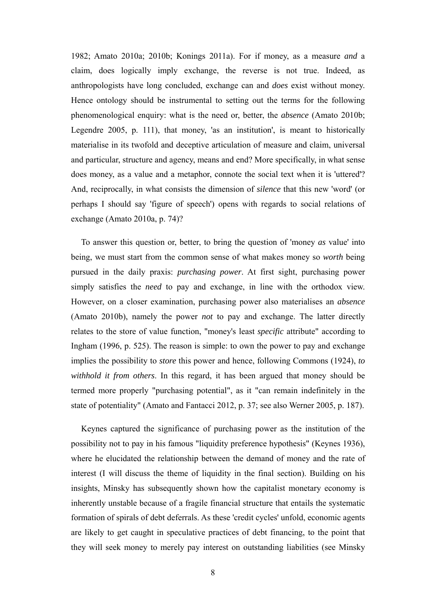1982; Amato 2010a; 2010b; Konings 2011a). For if money, as a measure *and* a claim, does logically imply exchange, the reverse is not true. Indeed, as anthropologists have long concluded, exchange can and *does* exist without money. Hence ontology should be instrumental to setting out the terms for the following phenomenological enquiry: what is the need or, better, the *absence* (Amato 2010b; Legendre 2005, p. 111), that money, 'as an institution', is meant to historically materialise in its twofold and deceptive articulation of measure and claim, universal and particular, structure and agency, means and end? More specifically, in what sense does money, as a value and a metaphor, connote the social text when it is 'uttered'? And, reciprocally, in what consists the dimension of *silence* that this new 'word' (or perhaps I should say 'figure of speech') opens with regards to social relations of exchange (Amato 2010a, p. 74)?

To answer this question or, better, to bring the question of 'money *as* value' into being, we must start from the common sense of what makes money so *worth* being pursued in the daily praxis: *purchasing power*. At first sight, purchasing power simply satisfies the *need* to pay and exchange, in line with the orthodox view. However, on a closer examination, purchasing power also materialises an *absence*  (Amato 2010b), namely the power *not* to pay and exchange. The latter directly relates to the store of value function, "money's least *specific* attribute" according to Ingham (1996, p. 525). The reason is simple: to own the power to pay and exchange implies the possibility to *store* this power and hence, following Commons (1924), *to withhold it from others*. In this regard, it has been argued that money should be termed more properly "purchasing potential", as it "can remain indefinitely in the state of potentiality" (Amato and Fantacci 2012, p. 37; see also Werner 2005, p. 187).

Keynes captured the significance of purchasing power as the institution of the possibility not to pay in his famous "liquidity preference hypothesis" (Keynes 1936), where he elucidated the relationship between the demand of money and the rate of interest (I will discuss the theme of liquidity in the final section). Building on his insights, Minsky has subsequently shown how the capitalist monetary economy is inherently unstable because of a fragile financial structure that entails the systematic formation of spirals of debt deferrals. As these 'credit cycles' unfold, economic agents are likely to get caught in speculative practices of debt financing, to the point that they will seek money to merely pay interest on outstanding liabilities (see Minsky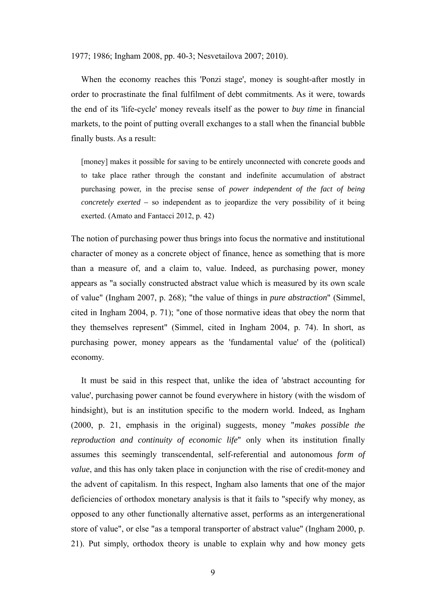1977; 1986; Ingham 2008, pp. 40-3; Nesvetailova 2007; 2010).

When the economy reaches this 'Ponzi stage', money is sought-after mostly in order to procrastinate the final fulfilment of debt commitments. As it were, towards the end of its 'life-cycle' money reveals itself as the power to *buy time* in financial markets, to the point of putting overall exchanges to a stall when the financial bubble finally busts. As a result:

[money] makes it possible for saving to be entirely unconnected with concrete goods and to take place rather through the constant and indefinite accumulation of abstract purchasing power, in the precise sense of *power independent of the fact of being concretely exerted –* so independent as to jeopardize the very possibility of it being exerted. (Amato and Fantacci 2012, p. 42)

The notion of purchasing power thus brings into focus the normative and institutional character of money as a concrete object of finance, hence as something that is more than a measure of, and a claim to, value. Indeed, as purchasing power, money appears as "a socially constructed abstract value which is measured by its own scale of value" (Ingham 2007, p. 268); "the value of things in *pure abstraction*" (Simmel, cited in Ingham 2004, p. 71); "one of those normative ideas that obey the norm that they themselves represent" (Simmel, cited in Ingham 2004, p. 74). In short, as purchasing power, money appears as the 'fundamental value' of the (political) economy.

It must be said in this respect that, unlike the idea of 'abstract accounting for value', purchasing power cannot be found everywhere in history (with the wisdom of hindsight), but is an institution specific to the modern world. Indeed, as Ingham (2000, p. 21, emphasis in the original) suggests, money "*makes possible the reproduction and continuity of economic life*" only when its institution finally assumes this seemingly transcendental, self-referential and autonomous *form of value*, and this has only taken place in conjunction with the rise of credit-money and the advent of capitalism. In this respect, Ingham also laments that one of the major deficiencies of orthodox monetary analysis is that it fails to "specify why money, as opposed to any other functionally alternative asset, performs as an intergenerational store of value", or else "as a temporal transporter of abstract value" (Ingham 2000, p. 21). Put simply, orthodox theory is unable to explain why and how money gets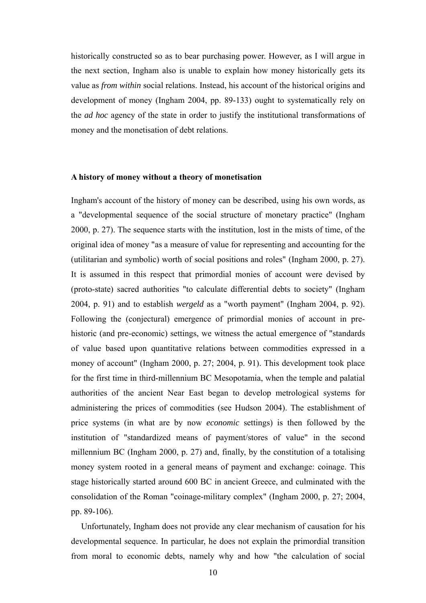historically constructed so as to bear purchasing power. However, as I will argue in the next section, Ingham also is unable to explain how money historically gets its value as *from within* social relations. Instead, his account of the historical origins and development of money (Ingham 2004, pp. 89-133) ought to systematically rely on the *ad hoc* agency of the state in order to justify the institutional transformations of money and the monetisation of debt relations.

#### **A history of money without a theory of monetisation**

Ingham's account of the history of money can be described, using his own words, as a "developmental sequence of the social structure of monetary practice" (Ingham 2000, p. 27). The sequence starts with the institution, lost in the mists of time, of the original idea of money "as a measure of value for representing and accounting for the (utilitarian and symbolic) worth of social positions and roles" (Ingham 2000, p. 27). It is assumed in this respect that primordial monies of account were devised by (proto-state) sacred authorities "to calculate differential debts to society" (Ingham 2004, p. 91) and to establish *wergeld* as a "worth payment" (Ingham 2004, p. 92). Following the (conjectural) emergence of primordial monies of account in prehistoric (and pre-economic) settings, we witness the actual emergence of "standards of value based upon quantitative relations between commodities expressed in a money of account" (Ingham 2000, p. 27; 2004, p. 91). This development took place for the first time in third-millennium BC Mesopotamia, when the temple and palatial authorities of the ancient Near East began to develop metrological systems for administering the prices of commodities (see Hudson 2004). The establishment of price systems (in what are by now *economic* settings) is then followed by the institution of "standardized means of payment/stores of value" in the second millennium BC (Ingham 2000, p. 27) and, finally, by the constitution of a totalising money system rooted in a general means of payment and exchange: coinage. This stage historically started around 600 BC in ancient Greece, and culminated with the consolidation of the Roman "coinage-military complex" (Ingham 2000, p. 27; 2004, pp. 89-106).

Unfortunately, Ingham does not provide any clear mechanism of causation for his developmental sequence. In particular, he does not explain the primordial transition from moral to economic debts, namely why and how "the calculation of social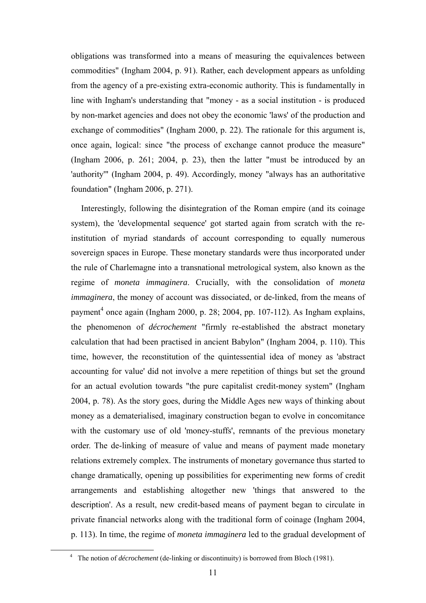obligations was transformed into a means of measuring the equivalences between commodities" (Ingham 2004, p. 91). Rather, each development appears as unfolding from the agency of a pre-existing extra-economic authority. This is fundamentally in line with Ingham's understanding that "money - as a social institution - is produced by non-market agencies and does not obey the economic 'laws' of the production and exchange of commodities" (Ingham 2000, p. 22). The rationale for this argument is, once again, logical: since "the process of exchange cannot produce the measure" (Ingham 2006, p. 261; 2004, p. 23), then the latter "must be introduced by an 'authority'" (Ingham 2004, p. 49). Accordingly, money "always has an authoritative foundation" (Ingham 2006, p. 271).

Interestingly, following the disintegration of the Roman empire (and its coinage system), the 'developmental sequence' got started again from scratch with the reinstitution of myriad standards of account corresponding to equally numerous sovereign spaces in Europe. These monetary standards were thus incorporated under the rule of Charlemagne into a transnational metrological system, also known as the regime of *moneta immaginera*. Crucially, with the consolidation of *moneta immaginera*, the money of account was dissociated, or de-linked, from the means of payment<sup>4</sup> once again (Ingham 2000, p. 28; 2004, pp. 107-112). As Ingham explains, the phenomenon of *décrochement* "firmly re-established the abstract monetary calculation that had been practised in ancient Babylon" (Ingham 2004, p. 110). This time, however, the reconstitution of the quintessential idea of money as 'abstract accounting for value' did not involve a mere repetition of things but set the ground for an actual evolution towards "the pure capitalist credit-money system" (Ingham 2004, p. 78). As the story goes, during the Middle Ages new ways of thinking about money as a dematerialised, imaginary construction began to evolve in concomitance with the customary use of old 'money-stuffs', remnants of the previous monetary order. The de-linking of measure of value and means of payment made monetary relations extremely complex. The instruments of monetary governance thus started to change dramatically, opening up possibilities for experimenting new forms of credit arrangements and establishing altogether new 'things that answered to the description'. As a result, new credit-based means of payment began to circulate in private financial networks along with the traditional form of coinage (Ingham 2004, p. 113). In time, the regime of *moneta immaginera* led to the gradual development of

 $\frac{1}{4}$ <sup>4</sup> The notion of *décrochement* (de-linking or discontinuity) is borrowed from Bloch (1981).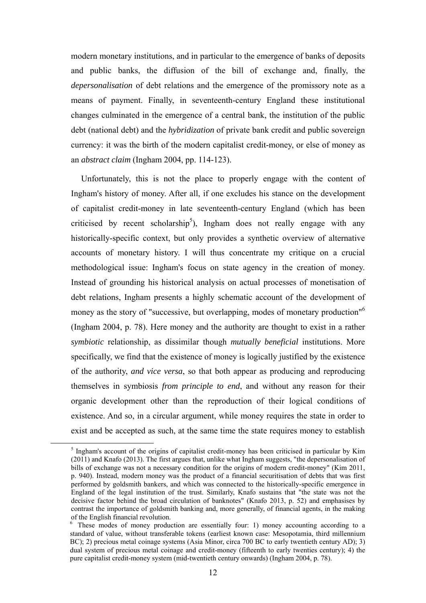modern monetary institutions, and in particular to the emergence of banks of deposits and public banks, the diffusion of the bill of exchange and, finally, the *depersonalisation* of debt relations and the emergence of the promissory note as a means of payment. Finally, in seventeenth-century England these institutional changes culminated in the emergence of a central bank, the institution of the public debt (national debt) and the *hybridization* of private bank credit and public sovereign currency: it was the birth of the modern capitalist credit-money, or else of money as an *abstract claim* (Ingham 2004, pp. 114-123).

Unfortunately, this is not the place to properly engage with the content of Ingham's history of money. After all, if one excludes his stance on the development of capitalist credit-money in late seventeenth-century England (which has been criticised by recent scholarship<sup>5</sup>), Ingham does not really engage with any historically-specific context, but only provides a synthetic overview of alternative accounts of monetary history. I will thus concentrate my critique on a crucial methodological issue: Ingham's focus on state agency in the creation of money. Instead of grounding his historical analysis on actual processes of monetisation of debt relations, Ingham presents a highly schematic account of the development of money as the story of "successive, but overlapping, modes of monetary production"<sup>6</sup> (Ingham 2004, p. 78). Here money and the authority are thought to exist in a rather *symbiotic* relationship, as dissimilar though *mutually beneficial* institutions. More specifically, we find that the existence of money is logically justified by the existence of the authority, *and vice versa*, so that both appear as producing and reproducing themselves in symbiosis *from principle to end*, and without any reason for their organic development other than the reproduction of their logical conditions of existence. And so, in a circular argument, while money requires the state in order to exist and be accepted as such, at the same time the state requires money to establish

 $rac{1}{5}$  $\frac{1}{2}$  Ingham's account of the origins of capitalist credit-money has been criticised in particular by Kim (2011) and Knafo (2013). The first argues that, unlike what Ingham suggests, "the depersonalisation of bills of exchange was not a necessary condition for the origins of modern credit-money" (Kim 2011, p. 940). Instead, modern money was the product of a financial securitisation of debts that was first performed by goldsmith bankers, and which was connected to the historically-specific emergence in England of the legal institution of the trust. Similarly, Knafo sustains that "the state was not the decisive factor behind the broad circulation of banknotes" (Knafo 2013, p. 52) and emphasises by contrast the importance of goldsmith banking and, more generally, of financial agents, in the making of the English financial revolution.

<sup>&</sup>lt;sup>6</sup> These modes of money production are essentially four: 1) money accounting according to a standard of value, without transferable tokens (earliest known case: Mesopotamia, third millennium BC); 2) precious metal coinage systems (Asia Minor, circa 700 BC to early twentieth century AD); 3) dual system of precious metal coinage and credit-money (fifteenth to early twenties century); 4) the pure capitalist credit-money system (mid-twentieth century onwards) (Ingham 2004, p. 78).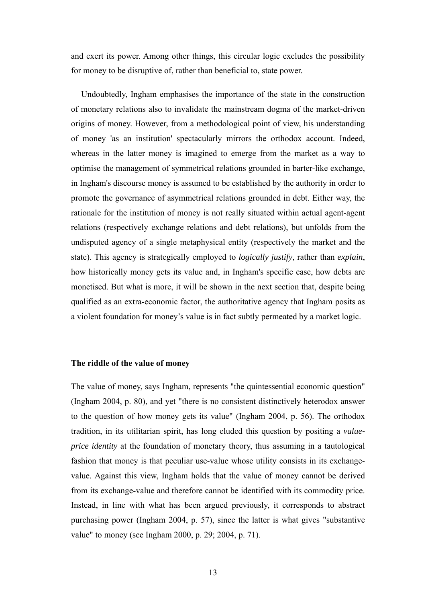and exert its power. Among other things, this circular logic excludes the possibility for money to be disruptive of, rather than beneficial to, state power.

Undoubtedly, Ingham emphasises the importance of the state in the construction of monetary relations also to invalidate the mainstream dogma of the market-driven origins of money. However, from a methodological point of view, his understanding of money 'as an institution' spectacularly mirrors the orthodox account. Indeed, whereas in the latter money is imagined to emerge from the market as a way to optimise the management of symmetrical relations grounded in barter-like exchange, in Ingham's discourse money is assumed to be established by the authority in order to promote the governance of asymmetrical relations grounded in debt. Either way, the rationale for the institution of money is not really situated within actual agent-agent relations (respectively exchange relations and debt relations), but unfolds from the undisputed agency of a single metaphysical entity (respectively the market and the state). This agency is strategically employed to *logically justify*, rather than *explain*, how historically money gets its value and, in Ingham's specific case, how debts are monetised. But what is more, it will be shown in the next section that, despite being qualified as an extra-economic factor, the authoritative agency that Ingham posits as a violent foundation for money's value is in fact subtly permeated by a market logic.

#### **The riddle of the value of money**

The value of money, says Ingham, represents "the quintessential economic question" (Ingham 2004, p. 80), and yet "there is no consistent distinctively heterodox answer to the question of how money gets its value" (Ingham 2004, p. 56). The orthodox tradition, in its utilitarian spirit, has long eluded this question by positing a *valueprice identity* at the foundation of monetary theory, thus assuming in a tautological fashion that money is that peculiar use-value whose utility consists in its exchangevalue. Against this view, Ingham holds that the value of money cannot be derived from its exchange-value and therefore cannot be identified with its commodity price. Instead, in line with what has been argued previously, it corresponds to abstract purchasing power (Ingham 2004, p. 57), since the latter is what gives "substantive value" to money (see Ingham 2000, p. 29; 2004, p. 71).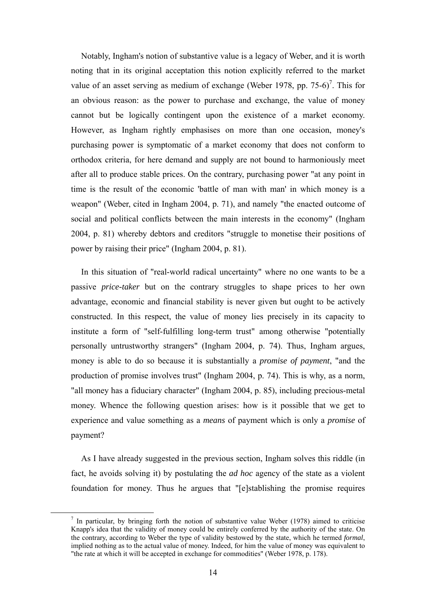Notably, Ingham's notion of substantive value is a legacy of Weber, and it is worth noting that in its original acceptation this notion explicitly referred to the market value of an asset serving as medium of exchange (Weber 1978, pp. 75-6)<sup>7</sup>. This for an obvious reason: as the power to purchase and exchange, the value of money cannot but be logically contingent upon the existence of a market economy. However, as Ingham rightly emphasises on more than one occasion, money's purchasing power is symptomatic of a market economy that does not conform to orthodox criteria, for here demand and supply are not bound to harmoniously meet after all to produce stable prices. On the contrary, purchasing power "at any point in time is the result of the economic 'battle of man with man' in which money is a weapon" (Weber, cited in Ingham 2004, p. 71), and namely "the enacted outcome of social and political conflicts between the main interests in the economy" (Ingham 2004, p. 81) whereby debtors and creditors "struggle to monetise their positions of power by raising their price" (Ingham 2004, p. 81).

In this situation of "real-world radical uncertainty" where no one wants to be a passive *price-taker* but on the contrary struggles to shape prices to her own advantage, economic and financial stability is never given but ought to be actively constructed. In this respect, the value of money lies precisely in its capacity to institute a form of "self-fulfilling long-term trust" among otherwise "potentially personally untrustworthy strangers" (Ingham 2004, p. 74). Thus, Ingham argues, money is able to do so because it is substantially a *promise of payment*, "and the production of promise involves trust" (Ingham 2004, p. 74). This is why, as a norm, "all money has a fiduciary character" (Ingham 2004, p. 85), including precious-metal money. Whence the following question arises: how is it possible that we get to experience and value something as a *means* of payment which is only a *promise* of payment?

As I have already suggested in the previous section, Ingham solves this riddle (in fact, he avoids solving it) by postulating the *ad hoc* agency of the state as a violent foundation for money. Thus he argues that "[e]stablishing the promise requires

 $rac{1}{7}$  $\frac{7}{1}$  In particular, by bringing forth the notion of substantive value Weber (1978) aimed to criticise Knapp's idea that the validity of money could be entirely conferred by the authority of the state. On the contrary, according to Weber the type of validity bestowed by the state, which he termed *formal*, implied nothing as to the actual value of money. Indeed, for him the value of money was equivalent to "the rate at which it will be accepted in exchange for commodities" (Weber 1978, p. 178).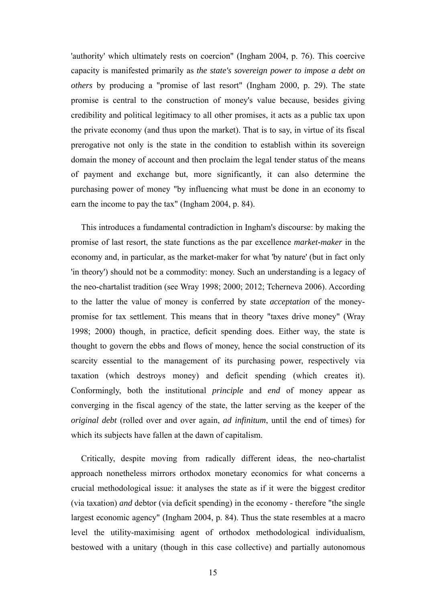'authority' which ultimately rests on coercion" (Ingham 2004, p. 76). This coercive capacity is manifested primarily as *the state's sovereign power to impose a debt on others* by producing a "promise of last resort" (Ingham 2000, p. 29). The state promise is central to the construction of money's value because, besides giving credibility and political legitimacy to all other promises, it acts as a public tax upon the private economy (and thus upon the market). That is to say, in virtue of its fiscal prerogative not only is the state in the condition to establish within its sovereign domain the money of account and then proclaim the legal tender status of the means of payment and exchange but, more significantly, it can also determine the purchasing power of money "by influencing what must be done in an economy to earn the income to pay the tax" (Ingham 2004, p. 84).

This introduces a fundamental contradiction in Ingham's discourse: by making the promise of last resort, the state functions as the par excellence *market-maker* in the economy and, in particular, as the market-maker for what 'by nature' (but in fact only 'in theory') should not be a commodity: money. Such an understanding is a legacy of the neo-chartalist tradition (see Wray 1998; 2000; 2012; Tcherneva 2006). According to the latter the value of money is conferred by state *acceptation* of the moneypromise for tax settlement. This means that in theory "taxes drive money" (Wray 1998; 2000) though, in practice, deficit spending does. Either way, the state is thought to govern the ebbs and flows of money, hence the social construction of its scarcity essential to the management of its purchasing power, respectively via taxation (which destroys money) and deficit spending (which creates it). Conformingly, both the institutional *principle* and *end* of money appear as converging in the fiscal agency of the state, the latter serving as the keeper of the *original debt* (rolled over and over again, *ad infinitum*, until the end of times) for which its subjects have fallen at the dawn of capitalism.

Critically, despite moving from radically different ideas, the neo-chartalist approach nonetheless mirrors orthodox monetary economics for what concerns a crucial methodological issue: it analyses the state as if it were the biggest creditor (via taxation) *and* debtor (via deficit spending) in the economy - therefore "the single largest economic agency" (Ingham 2004, p. 84). Thus the state resembles at a macro level the utility-maximising agent of orthodox methodological individualism, bestowed with a unitary (though in this case collective) and partially autonomous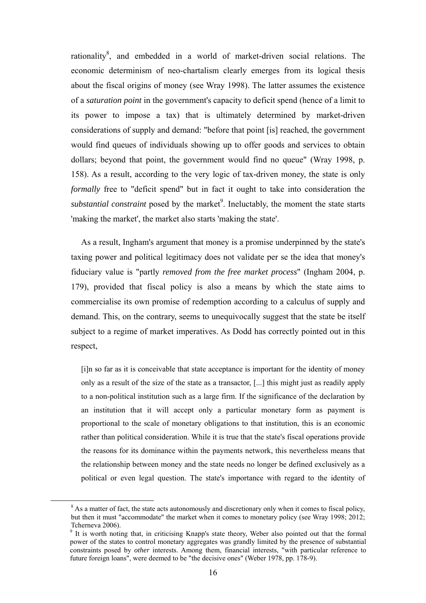rationality<sup>8</sup>, and embedded in a world of market-driven social relations. The economic determinism of neo-chartalism clearly emerges from its logical thesis about the fiscal origins of money (see Wray 1998). The latter assumes the existence of a *saturation point* in the government's capacity to deficit spend (hence of a limit to its power to impose a tax) that is ultimately determined by market-driven considerations of supply and demand: "before that point [is] reached, the government would find queues of individuals showing up to offer goods and services to obtain dollars; beyond that point, the government would find no queue" (Wray 1998, p. 158). As a result, according to the very logic of tax-driven money, the state is only *formally* free to "deficit spend" but in fact it ought to take into consideration the substantial constraint posed by the market<sup>9</sup>. Ineluctably, the moment the state starts 'making the market', the market also starts 'making the state'.

As a result, Ingham's argument that money is a promise underpinned by the state's taxing power and political legitimacy does not validate per se the idea that money's fiduciary value is "partly *removed from the free market process*" (Ingham 2004, p. 179), provided that fiscal policy is also a means by which the state aims to commercialise its own promise of redemption according to a calculus of supply and demand. This, on the contrary, seems to unequivocally suggest that the state be itself subject to a regime of market imperatives. As Dodd has correctly pointed out in this respect,

[i]n so far as it is conceivable that state acceptance is important for the identity of money only as a result of the size of the state as a transactor, [...] this might just as readily apply to a non-political institution such as a large firm. If the significance of the declaration by an institution that it will accept only a particular monetary form as payment is proportional to the scale of monetary obligations to that institution, this is an economic rather than political consideration. While it is true that the state's fiscal operations provide the reasons for its dominance within the payments network, this nevertheless means that the relationship between money and the state needs no longer be defined exclusively as a political or even legal question. The state's importance with regard to the identity of

 $rac{1}{\sqrt{8}}$  $8$  As a matter of fact, the state acts autonomously and discretionary only when it comes to fiscal policy, but then it must "accommodate" the market when it comes to monetary policy (see Wray 1998; 2012; Tcherneva 2006).

<sup>&</sup>lt;sup>9</sup> It is worth noting that, in criticising Knapp's state theory, Weber also pointed out that the formal power of the states to control monetary aggregates was grandly limited by the presence of substantial constraints posed by *other* interests. Among them, financial interests, "with particular reference to future foreign loans", were deemed to be "the decisive ones" (Weber 1978, pp. 178-9).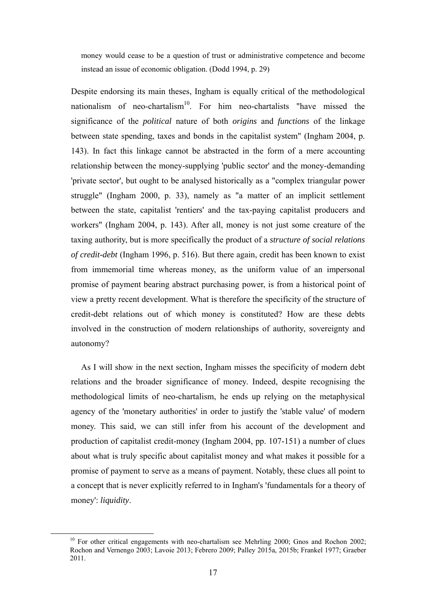money would cease to be a question of trust or administrative competence and become instead an issue of economic obligation. (Dodd 1994, p. 29)

Despite endorsing its main theses, Ingham is equally critical of the methodological nationalism of neo-chartalism<sup>10</sup>. For him neo-chartalists "have missed the significance of the *political* nature of both *origins* and *functions* of the linkage between state spending, taxes and bonds in the capitalist system" (Ingham 2004, p. 143). In fact this linkage cannot be abstracted in the form of a mere accounting relationship between the money-supplying 'public sector' and the money-demanding 'private sector', but ought to be analysed historically as a "complex triangular power struggle" (Ingham 2000, p. 33), namely as "a matter of an implicit settlement between the state, capitalist 'rentiers' and the tax-paying capitalist producers and workers" (Ingham 2004, p. 143). After all, money is not just some creature of the taxing authority, but is more specifically the product of a *structure of social relations of credit-debt* (Ingham 1996, p. 516). But there again, credit has been known to exist from immemorial time whereas money, as the uniform value of an impersonal promise of payment bearing abstract purchasing power, is from a historical point of view a pretty recent development. What is therefore the specificity of the structure of credit-debt relations out of which money is constituted? How are these debts involved in the construction of modern relationships of authority, sovereignty and autonomy?

As I will show in the next section, Ingham misses the specificity of modern debt relations and the broader significance of money. Indeed, despite recognising the methodological limits of neo-chartalism, he ends up relying on the metaphysical agency of the 'monetary authorities' in order to justify the 'stable value' of modern money. This said, we can still infer from his account of the development and production of capitalist credit-money (Ingham 2004, pp. 107-151) a number of clues about what is truly specific about capitalist money and what makes it possible for a promise of payment to serve as a means of payment. Notably, these clues all point to a concept that is never explicitly referred to in Ingham's 'fundamentals for a theory of money': *liquidity*.

 $10$  For other critical engagements with neo-chartalism see Mehrling 2000; Gnos and Rochon 2002; Rochon and Vernengo 2003; Lavoie 2013; Febrero 2009; Palley 2015a, 2015b; Frankel 1977; Graeber 2011.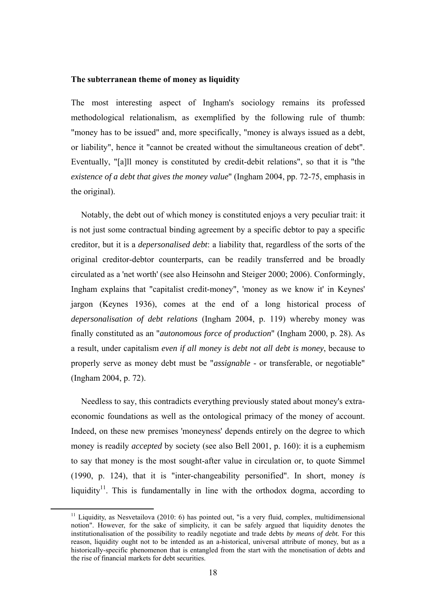#### **The subterranean theme of money as liquidity**

The most interesting aspect of Ingham's sociology remains its professed methodological relationalism, as exemplified by the following rule of thumb: "money has to be issued" and, more specifically, "money is always issued as a debt, or liability", hence it "cannot be created without the simultaneous creation of debt". Eventually, "[a]ll money is constituted by credit-debit relations", so that it is "the *existence of a debt that gives the money value*" (Ingham 2004, pp. 72-75, emphasis in the original).

Notably, the debt out of which money is constituted enjoys a very peculiar trait: it is not just some contractual binding agreement by a specific debtor to pay a specific creditor, but it is a *depersonalised debt*: a liability that, regardless of the sorts of the original creditor-debtor counterparts, can be readily transferred and be broadly circulated as a 'net worth' (see also Heinsohn and Steiger 2000; 2006). Conformingly, Ingham explains that "capitalist credit-money", 'money as we know it' in Keynes' jargon (Keynes 1936), comes at the end of a long historical process of *depersonalisation of debt relations* (Ingham 2004, p. 119) whereby money was finally constituted as an "*autonomous force of production*" (Ingham 2000, p. 28). As a result, under capitalism *even if all money is debt not all debt is money*, because to properly serve as money debt must be "*assignable* - or transferable, or negotiable" (Ingham 2004, p. 72).

Needless to say, this contradicts everything previously stated about money's extraeconomic foundations as well as the ontological primacy of the money of account. Indeed, on these new premises 'moneyness' depends entirely on the degree to which money is readily *accepted* by society (see also Bell 2001, p. 160): it is a euphemism to say that money is the most sought-after value in circulation or, to quote Simmel (1990, p. 124), that it is "inter-changeability personified". In short, money *is*  liquidity<sup>11</sup>. This is fundamentally in line with the orthodox dogma, according to

 $11$  Liquidity, as Nesvetailova (2010: 6) has pointed out, "is a very fluid, complex, multidimensional notion". However, for the sake of simplicity, it can be safely argued that liquidity denotes the institutionalisation of the possibility to readily negotiate and trade debts *by means of debt.* For this reason, liquidity ought not to be intended as an a-historical, universal attribute of money, but as a historically-specific phenomenon that is entangled from the start with the monetisation of debts and the rise of financial markets for debt securities.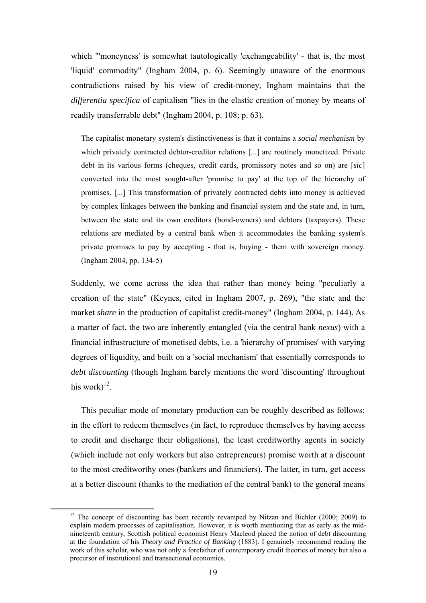which "'moneyness' is somewhat tautologically 'exchangeability' - that is, the most 'liquid' commodity" (Ingham 2004, p. 6). Seemingly unaware of the enormous contradictions raised by his view of credit-money, Ingham maintains that the *differentia specifica* of capitalism "lies in the elastic creation of money by means of readily transferrable debt" (Ingham 2004, p. 108; p. 63).

The capitalist monetary system's distinctiveness is that it contains a *social mechanism* by which privately contracted debtor-creditor relations [...] are routinely monetized. Private debt in its various forms (cheques, credit cards, promissory notes and so on) are [*sic*] converted into the most sought-after 'promise to pay' at the top of the hierarchy of promises. [...] This transformation of privately contracted debts into money is achieved by complex linkages between the banking and financial system and the state and, in turn, between the state and its own creditors (bond-owners) and debtors (taxpayers). These relations are mediated by a central bank when it accommodates the banking system's private promises to pay by accepting - that is, buying - them with sovereign money. (Ingham 2004, pp. 134-5)

Suddenly, we come across the idea that rather than money being "peculiarly a creation of the state" (Keynes, cited in Ingham 2007, p. 269), "the state and the market *share* in the production of capitalist credit-money" (Ingham 2004, p. 144). As a matter of fact, the two are inherently entangled (via the central bank *nexus*) with a financial infrastructure of monetised debts, i.e. a 'hierarchy of promises' with varying degrees of liquidity, and built on a 'social mechanism' that essentially corresponds to *debt discounting* (though Ingham barely mentions the word 'discounting' throughout his work $)^{12}$ .

This peculiar mode of monetary production can be roughly described as follows: in the effort to redeem themselves (in fact, to reproduce themselves by having access to credit and discharge their obligations), the least creditworthy agents in society (which include not only workers but also entrepreneurs) promise worth at a discount to the most creditworthy ones (bankers and financiers). The latter, in turn, get access at a better discount (thanks to the mediation of the central bank) to the general means

<sup>&</sup>lt;sup>12</sup> The concept of discounting has been recently revamped by Nitzan and Bichler (2000; 2009) to explain modern processes of capitalisation. However, it is worth mentioning that as early as the midnineteenth century, Scottish political economist Henry Macleod placed the notion of debt discounting at the foundation of his *Theory and Practice of Banking* (1883). I genuinely recommend reading the work of this scholar, who was not only a forefather of contemporary credit theories of money but also a precursor of institutional and transactional economics.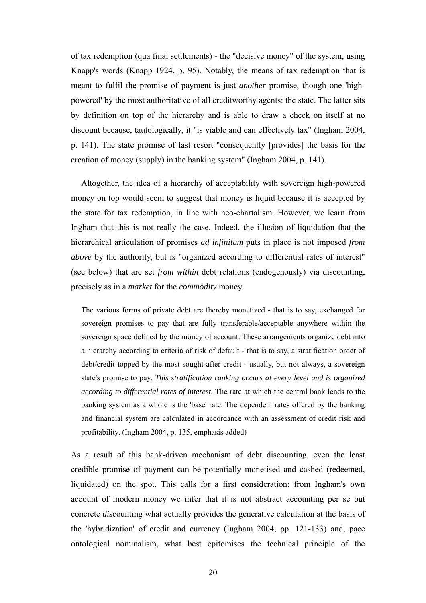of tax redemption (qua final settlements) - the "decisive money" of the system, using Knapp's words (Knapp 1924, p. 95). Notably, the means of tax redemption that is meant to fulfil the promise of payment is just *another* promise, though one 'highpowered' by the most authoritative of all creditworthy agents: the state. The latter sits by definition on top of the hierarchy and is able to draw a check on itself at no discount because, tautologically, it "is viable and can effectively tax" (Ingham 2004, p. 141). The state promise of last resort "consequently [provides] the basis for the creation of money (supply) in the banking system" (Ingham 2004, p. 141).

Altogether, the idea of a hierarchy of acceptability with sovereign high-powered money on top would seem to suggest that money is liquid because it is accepted by the state for tax redemption, in line with neo-chartalism. However, we learn from Ingham that this is not really the case. Indeed, the illusion of liquidation that the hierarchical articulation of promises *ad infinitum* puts in place is not imposed *from above* by the authority, but is "organized according to differential rates of interest" (see below) that are set *from within* debt relations (endogenously) via discounting, precisely as in a *market* for the *commodity* money.

The various forms of private debt are thereby monetized - that is to say, exchanged for sovereign promises to pay that are fully transferable/acceptable anywhere within the sovereign space defined by the money of account. These arrangements organize debt into a hierarchy according to criteria of risk of default - that is to say, a stratification order of debt/credit topped by the most sought-after credit - usually, but not always, a sovereign state's promise to pay. *This stratification ranking occurs at every level and is organized according to differential rates of interest*. The rate at which the central bank lends to the banking system as a whole is the 'base' rate. The dependent rates offered by the banking and financial system are calculated in accordance with an assessment of credit risk and profitability. (Ingham 2004, p. 135, emphasis added)

As a result of this bank-driven mechanism of debt discounting, even the least credible promise of payment can be potentially monetised and cashed (redeemed, liquidated) on the spot. This calls for a first consideration: from Ingham's own account of modern money we infer that it is not abstract accounting per se but concrete *dis*counting what actually provides the generative calculation at the basis of the 'hybridization' of credit and currency (Ingham 2004, pp. 121-133) and, pace ontological nominalism, what best epitomises the technical principle of the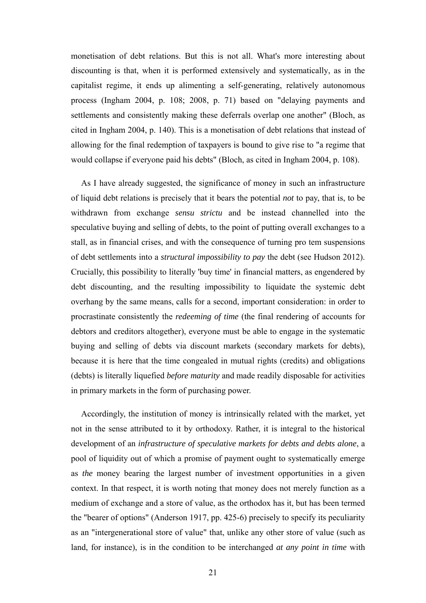monetisation of debt relations. But this is not all. What's more interesting about discounting is that, when it is performed extensively and systematically, as in the capitalist regime, it ends up alimenting a self-generating, relatively autonomous process (Ingham 2004, p. 108; 2008, p. 71) based on "delaying payments and settlements and consistently making these deferrals overlap one another" (Bloch, as cited in Ingham 2004, p. 140). This is a monetisation of debt relations that instead of allowing for the final redemption of taxpayers is bound to give rise to "a regime that would collapse if everyone paid his debts" (Bloch, as cited in Ingham 2004, p. 108).

As I have already suggested, the significance of money in such an infrastructure of liquid debt relations is precisely that it bears the potential *not* to pay, that is, to be withdrawn from exchange *sensu strictu* and be instead channelled into the speculative buying and selling of debts, to the point of putting overall exchanges to a stall, as in financial crises, and with the consequence of turning pro tem suspensions of debt settlements into a *structural impossibility to pay* the debt (see Hudson 2012). Crucially, this possibility to literally 'buy time' in financial matters, as engendered by debt discounting, and the resulting impossibility to liquidate the systemic debt overhang by the same means, calls for a second, important consideration: in order to procrastinate consistently the *redeeming of time* (the final rendering of accounts for debtors and creditors altogether), everyone must be able to engage in the systematic buying and selling of debts via discount markets (secondary markets for debts), because it is here that the time congealed in mutual rights (credits) and obligations (debts) is literally liquefied *before maturity* and made readily disposable for activities in primary markets in the form of purchasing power.

Accordingly, the institution of money is intrinsically related with the market, yet not in the sense attributed to it by orthodoxy. Rather, it is integral to the historical development of an *infrastructure of speculative markets for debts and debts alone*, a pool of liquidity out of which a promise of payment ought to systematically emerge as *the* money bearing the largest number of investment opportunities in a given context. In that respect, it is worth noting that money does not merely function as a medium of exchange and a store of value, as the orthodox has it, but has been termed the "bearer of options" (Anderson 1917, pp. 425-6) precisely to specify its peculiarity as an "intergenerational store of value" that, unlike any other store of value (such as land, for instance), is in the condition to be interchanged *at any point in time* with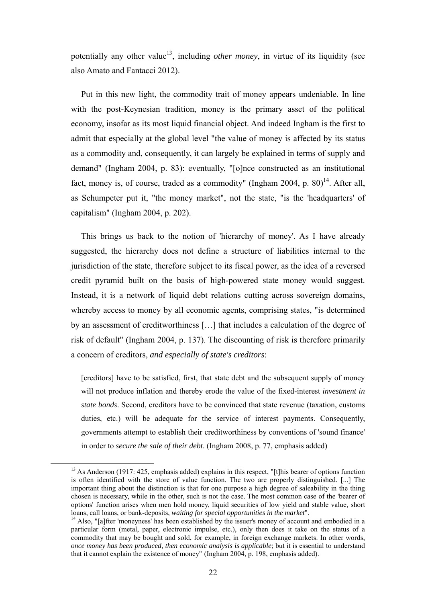potentially any other value<sup>13</sup>, including *other money*, in virtue of its liquidity (see also Amato and Fantacci 2012).

Put in this new light, the commodity trait of money appears undeniable. In line with the post-Keynesian tradition, money is the primary asset of the political economy, insofar as its most liquid financial object. And indeed Ingham is the first to admit that especially at the global level "the value of money is affected by its status as a commodity and, consequently, it can largely be explained in terms of supply and demand" (Ingham 2004, p. 83): eventually, "[o]nce constructed as an institutional fact, money is, of course, traded as a commodity" (Ingham 2004, p.  $80$ )<sup>14</sup>. After all, as Schumpeter put it, "the money market", not the state, "is the 'headquarters' of capitalism" (Ingham 2004, p. 202).

This brings us back to the notion of 'hierarchy of money'. As I have already suggested, the hierarchy does not define a structure of liabilities internal to the jurisdiction of the state, therefore subject to its fiscal power, as the idea of a reversed credit pyramid built on the basis of high-powered state money would suggest. Instead, it is a network of liquid debt relations cutting across sovereign domains, whereby access to money by all economic agents, comprising states, "is determined by an assessment of creditworthiness […] that includes a calculation of the degree of risk of default" (Ingham 2004, p. 137). The discounting of risk is therefore primarily a concern of creditors, *and especially of state's creditors*:

[creditors] have to be satisfied, first, that state debt and the subsequent supply of money will not produce inflation and thereby erode the value of the fixed-interest *investment in state bonds*. Second, creditors have to be convinced that state revenue (taxation, customs duties, etc.) will be adequate for the service of interest payments. Consequently, governments attempt to establish their creditworthiness by conventions of 'sound finance' in order to *secure the sale of their debt*. (Ingham 2008, p. 77, emphasis added)

<sup>&</sup>lt;sup>13</sup> As Anderson (1917: 425, emphasis added) explains in this respect, "[t]his bearer of options function is often identified with the store of value function. The two are properly distinguished. [...] The important thing about the distinction is that for one purpose a high degree of saleability in the thing chosen is necessary, while in the other, such is not the case. The most common case of the 'bearer of options' function arises when men hold money, liquid securities of low yield and stable value, short loans, call loans, or bank-deposits, *waiting for special opportunities in the market*".<br><sup>14</sup> Also, "[a]fter 'moneyness' has been established by the issuer's money of account and embodied in a

particular form (metal, paper, electronic impulse, etc.), only then does it take on the status of a commodity that may be bought and sold, for example, in foreign exchange markets. In other words, *once money has been produced, then economic analysis is applicable*; but it is essential to understand that it cannot explain the existence of money" (Ingham 2004, p. 198, emphasis added).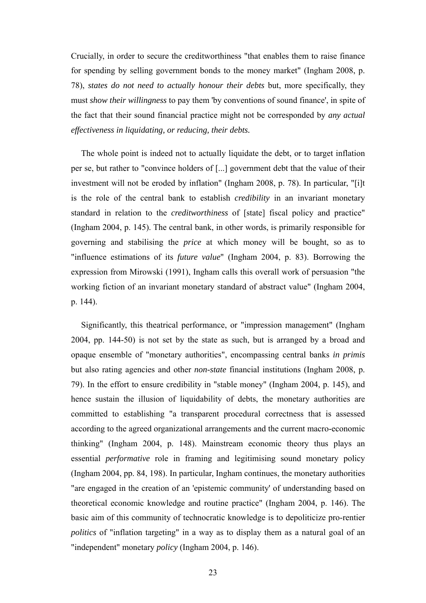Crucially, in order to secure the creditworthiness "that enables them to raise finance for spending by selling government bonds to the money market" (Ingham 2008, p. 78), *states do not need to actually honour their debts* but, more specifically, they must *show their willingness* to pay them 'by conventions of sound finance', in spite of the fact that their sound financial practice might not be corresponded by *any actual effectiveness in liquidating, or reducing, their debts.*

The whole point is indeed not to actually liquidate the debt, or to target inflation per se, but rather to "convince holders of [...] government debt that the value of their investment will not be eroded by inflation" (Ingham 2008, p. 78). In particular, "[i]t is the role of the central bank to establish *credibility* in an invariant monetary standard in relation to the *creditworthiness* of [state] fiscal policy and practice" (Ingham 2004, p. 145). The central bank, in other words, is primarily responsible for governing and stabilising the *price* at which money will be bought, so as to "influence estimations of its *future value*" (Ingham 2004, p. 83). Borrowing the expression from Mirowski (1991), Ingham calls this overall work of persuasion "the working fiction of an invariant monetary standard of abstract value" (Ingham 2004, p. 144).

Significantly, this theatrical performance, or "impression management" (Ingham 2004, pp. 144-50) is not set by the state as such, but is arranged by a broad and opaque ensemble of "monetary authorities", encompassing central banks *in primis* but also rating agencies and other *non-state* financial institutions (Ingham 2008, p. 79). In the effort to ensure credibility in "stable money" (Ingham 2004, p. 145), and hence sustain the illusion of liquidability of debts, the monetary authorities are committed to establishing "a transparent procedural correctness that is assessed according to the agreed organizational arrangements and the current macro-economic thinking" (Ingham 2004, p. 148). Mainstream economic theory thus plays an essential *performative* role in framing and legitimising sound monetary policy (Ingham 2004, pp. 84, 198). In particular, Ingham continues, the monetary authorities "are engaged in the creation of an 'epistemic community' of understanding based on theoretical economic knowledge and routine practice" (Ingham 2004, p. 146). The basic aim of this community of technocratic knowledge is to depoliticize pro-rentier *politics* of "inflation targeting" in a way as to display them as a natural goal of an "independent" monetary *policy* (Ingham 2004, p. 146).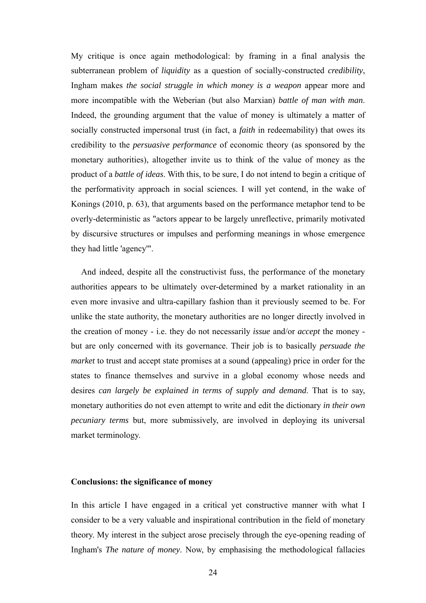My critique is once again methodological: by framing in a final analysis the subterranean problem of *liquidity* as a question of socially-constructed *credibility*, Ingham makes *the social struggle in which money is a weapon* appear more and more incompatible with the Weberian (but also Marxian) *battle of man with man*. Indeed, the grounding argument that the value of money is ultimately a matter of socially constructed impersonal trust (in fact, a *faith* in redeemability) that owes its credibility to the *persuasive performance* of economic theory (as sponsored by the monetary authorities), altogether invite us to think of the value of money as the product of a *battle of ideas*. With this, to be sure, I do not intend to begin a critique of the performativity approach in social sciences. I will yet contend, in the wake of Konings (2010, p. 63), that arguments based on the performance metaphor tend to be overly-deterministic as "actors appear to be largely unreflective, primarily motivated by discursive structures or impulses and performing meanings in whose emergence they had little 'agency'".

And indeed, despite all the constructivist fuss, the performance of the monetary authorities appears to be ultimately over-determined by a market rationality in an even more invasive and ultra-capillary fashion than it previously seemed to be. For unlike the state authority, the monetary authorities are no longer directly involved in the creation of money - i.e. they do not necessarily *issue* and/or *accept* the money but are only concerned with its governance. Their job is to basically *persuade the market* to trust and accept state promises at a sound (appealing) price in order for the states to finance themselves and survive in a global economy whose needs and desires *can largely be explained in terms of supply and demand*. That is to say, monetary authorities do not even attempt to write and edit the dictionary *in their own pecuniary terms* but, more submissively, are involved in deploying its universal market terminology.

#### **Conclusions: the significance of money**

In this article I have engaged in a critical yet constructive manner with what I consider to be a very valuable and inspirational contribution in the field of monetary theory. My interest in the subject arose precisely through the eye-opening reading of Ingham's *The nature of money*. Now, by emphasising the methodological fallacies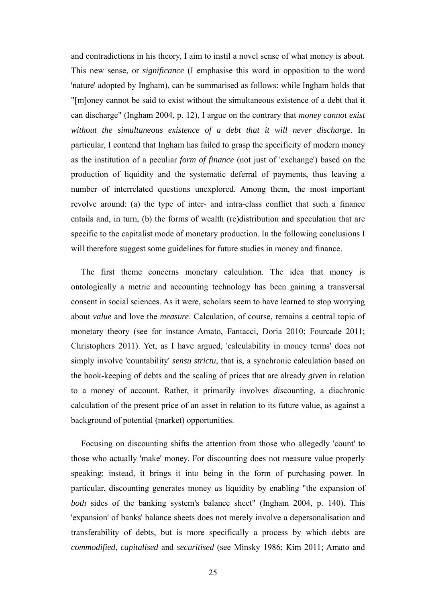and contradictions in his theory, I aim to instil a novel sense of what money is about. This new sense, or *significance* (I emphasise this word in opposition to the word 'nature' adopted by Ingham), can be summarised as follows: while Ingham holds that "[m]oney cannot be said to exist without the simultaneous existence of a debt that it can discharge" (Ingham 2004, p. 12), I argue on the contrary that *money cannot exist without the simultaneous existence of a debt that it will never discharge*. In particular, I contend that Ingham has failed to grasp the specificity of modern money as the institution of a peculiar *form of finance* (not just of 'exchange') based on the production of liquidity and the systematic deferral of payments, thus leaving a number of interrelated questions unexplored. Among them, the most important revolve around: (a) the type of inter- and intra-class conflict that such a finance entails and, in turn, (b) the forms of wealth (re)distribution and speculation that are specific to the capitalist mode of monetary production. In the following conclusions I will therefore suggest some guidelines for future studies in money and finance.

The first theme concerns monetary calculation. The idea that money is ontologically a metric and accounting technology has been gaining a transversal consent in social sciences. As it were, scholars seem to have learned to stop worrying about *value* and love the *measure*. Calculation, of course, remains a central topic of monetary theory (see for instance Amato, Fantacci, Doria 2010; Fourcade 2011; Christophers 2011). Yet, as I have argued, 'calculability in money terms' does not simply involve 'countability' *sensu strictu*, that is, a synchronic calculation based on the book-keeping of debts and the scaling of prices that are already *given* in relation to a money of account. Rather, it primarily involves *dis*counting, a diachronic calculation of the present price of an asset in relation to its future value, as against a background of potential (market) opportunities.

Focusing on discounting shifts the attention from those who allegedly 'count' to those who actually 'make' money. For discounting does not measure value properly speaking: instead, it brings it into being in the form of purchasing power. In particular, discounting generates money *as* liquidity by enabling "the expansion of *both* sides of the banking system's balance sheet" (Ingham 2004, p. 140). This 'expansion' of banks' balance sheets does not merely involve a depersonalisation and transferability of debts, but is more specifically a process by which debts are *commodified*, *capitalised* and *securitised* (see Minsky 1986; Kim 2011; Amato and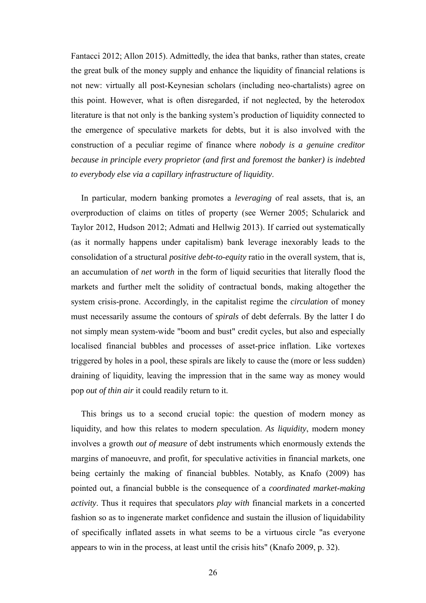Fantacci 2012; Allon 2015). Admittedly, the idea that banks, rather than states, create the great bulk of the money supply and enhance the liquidity of financial relations is not new: virtually all post-Keynesian scholars (including neo-chartalists) agree on this point. However, what is often disregarded, if not neglected, by the heterodox literature is that not only is the banking system's production of liquidity connected to the emergence of speculative markets for debts, but it is also involved with the construction of a peculiar regime of finance where *nobody is a genuine creditor because in principle every proprietor (and first and foremost the banker) is indebted to everybody else via a capillary infrastructure of liquidity*.

In particular, modern banking promotes a *leveraging* of real assets, that is, an overproduction of claims on titles of property (see Werner 2005; Schularick and Taylor 2012, Hudson 2012; Admati and Hellwig 2013). If carried out systematically (as it normally happens under capitalism) bank leverage inexorably leads to the consolidation of a structural *positive debt-to-equity* ratio in the overall system, that is, an accumulation of *net worth* in the form of liquid securities that literally flood the markets and further melt the solidity of contractual bonds, making altogether the system crisis-prone. Accordingly, in the capitalist regime the *circulation* of money must necessarily assume the contours of *spirals* of debt deferrals. By the latter I do not simply mean system-wide "boom and bust" credit cycles, but also and especially localised financial bubbles and processes of asset-price inflation. Like vortexes triggered by holes in a pool, these spirals are likely to cause the (more or less sudden) draining of liquidity, leaving the impression that in the same way as money would pop *out of thin air* it could readily return to it.

This brings us to a second crucial topic: the question of modern money as liquidity, and how this relates to modern speculation. *As liquidity*, modern money involves a growth *out of measure* of debt instruments which enormously extends the margins of manoeuvre, and profit, for speculative activities in financial markets, one being certainly the making of financial bubbles. Notably, as Knafo (2009) has pointed out, a financial bubble is the consequence of a *coordinated market-making activity*. Thus it requires that speculators *play with* financial markets in a concerted fashion so as to ingenerate market confidence and sustain the illusion of liquidability of specifically inflated assets in what seems to be a virtuous circle "as everyone appears to win in the process, at least until the crisis hits" (Knafo 2009, p. 32).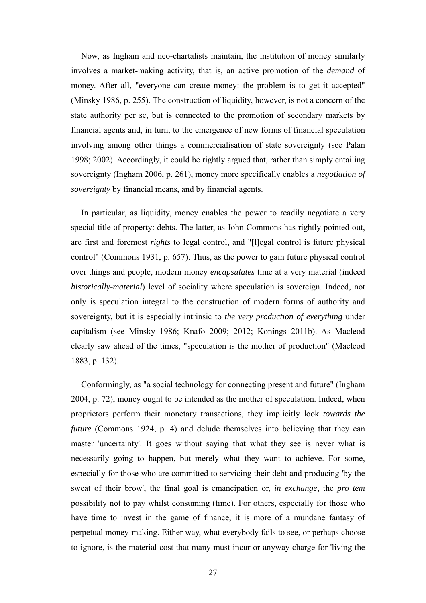Now, as Ingham and neo-chartalists maintain, the institution of money similarly involves a market-making activity, that is, an active promotion of the *demand* of money. After all, "everyone can create money: the problem is to get it accepted" (Minsky 1986, p. 255). The construction of liquidity, however, is not a concern of the state authority per se, but is connected to the promotion of secondary markets by financial agents and, in turn, to the emergence of new forms of financial speculation involving among other things a commercialisation of state sovereignty (see Palan 1998; 2002). Accordingly, it could be rightly argued that, rather than simply entailing sovereignty (Ingham 2006, p. 261), money more specifically enables a *negotiation of sovereignty* by financial means, and by financial agents.

In particular, as liquidity, money enables the power to readily negotiate a very special title of property: debts. The latter, as John Commons has rightly pointed out, are first and foremost *rights* to legal control, and "[l]egal control is future physical control" (Commons 1931, p. 657). Thus, as the power to gain future physical control over things and people, modern money *encapsulates* time at a very material (indeed *historically-material*) level of sociality where speculation is sovereign. Indeed, not only is speculation integral to the construction of modern forms of authority and sovereignty, but it is especially intrinsic to *the very production of everything* under capitalism (see Minsky 1986; Knafo 2009; 2012; Konings 2011b). As Macleod clearly saw ahead of the times, "speculation is the mother of production" (Macleod 1883, p. 132).

Conformingly, as "a social technology for connecting present and future" (Ingham 2004, p. 72), money ought to be intended as the mother of speculation. Indeed, when proprietors perform their monetary transactions, they implicitly look *towards the future* (Commons 1924, p. 4) and delude themselves into believing that they can master 'uncertainty'. It goes without saying that what they see is never what is necessarily going to happen, but merely what they want to achieve. For some, especially for those who are committed to servicing their debt and producing 'by the sweat of their brow', the final goal is emancipation or, *in exchange*, the *pro tem*  possibility not to pay whilst consuming (time). For others, especially for those who have time to invest in the game of finance, it is more of a mundane fantasy of perpetual money-making. Either way, what everybody fails to see, or perhaps choose to ignore, is the material cost that many must incur or anyway charge for 'living the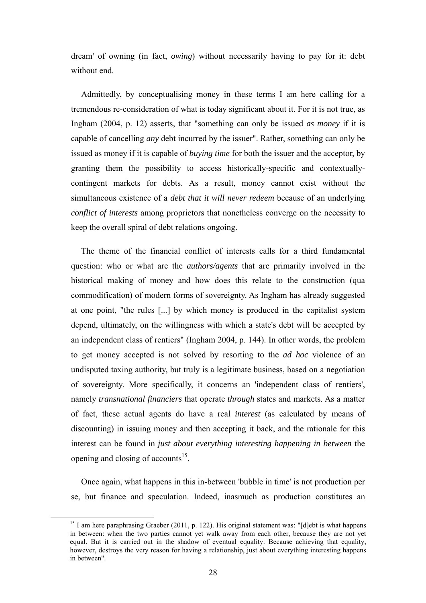dream' of owning (in fact, *owing*) without necessarily having to pay for it: debt without end.

Admittedly, by conceptualising money in these terms I am here calling for a tremendous re-consideration of what is today significant about it. For it is not true, as Ingham (2004, p. 12) asserts, that "something can only be issued *as money* if it is capable of cancelling *any* debt incurred by the issuer". Rather, something can only be issued as money if it is capable of *buying time* for both the issuer and the acceptor, by granting them the possibility to access historically-specific and contextuallycontingent markets for debts. As a result, money cannot exist without the simultaneous existence of a *debt that it will never redeem* because of an underlying *conflict of interests* among proprietors that nonetheless converge on the necessity to keep the overall spiral of debt relations ongoing.

The theme of the financial conflict of interests calls for a third fundamental question: who or what are the *authors/agents* that are primarily involved in the historical making of money and how does this relate to the construction (qua commodification) of modern forms of sovereignty. As Ingham has already suggested at one point, "the rules [...] by which money is produced in the capitalist system depend, ultimately, on the willingness with which a state's debt will be accepted by an independent class of rentiers" (Ingham 2004, p. 144). In other words, the problem to get money accepted is not solved by resorting to the *ad hoc* violence of an undisputed taxing authority, but truly is a legitimate business, based on a negotiation of sovereignty. More specifically, it concerns an 'independent class of rentiers', namely *transnational financiers* that operate *through* states and markets. As a matter of fact, these actual agents do have a real *interest* (as calculated by means of discounting) in issuing money and then accepting it back, and the rationale for this interest can be found in *just about everything interesting happening in between* the opening and closing of accounts<sup>15</sup>.

Once again, what happens in this in-between 'bubble in time' is not production per se, but finance and speculation. Indeed, inasmuch as production constitutes an

<sup>&</sup>lt;sup>15</sup> I am here paraphrasing Graeber (2011, p. 122). His original statement was: "[d]ebt is what happens in between: when the two parties cannot yet walk away from each other, because they are not yet equal. But it is carried out in the shadow of eventual equality. Because achieving that equality, however, destroys the very reason for having a relationship, just about everything interesting happens in between".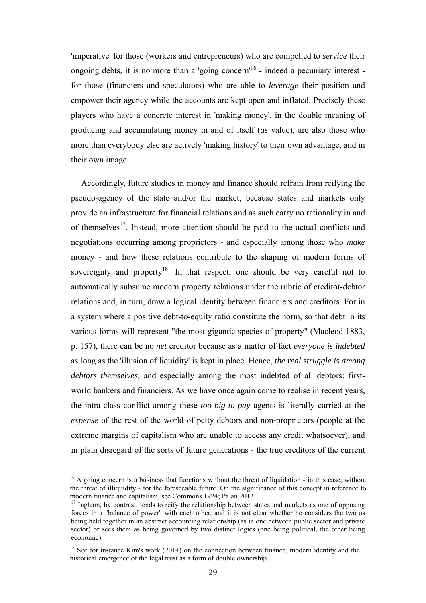'imperative' for those (workers and entrepreneurs) who are compelled to *service* their ongoing debts, it is no more than a 'going concern'<sup>16</sup> - indeed a pecuniary interest for those (financiers and speculators) who are able to *leverage* their position and empower their agency while the accounts are kept open and inflated. Precisely these players who have a concrete interest in 'making money', in the double meaning of producing and accumulating money in and of itself (*as* value), are also those who more than everybody else are actively 'making history' to their own advantage, and in their own image.

Accordingly, future studies in money and finance should refrain from reifying the pseudo-agency of the state and/or the market, because states and markets only provide an infrastructure for financial relations and as such carry no rationality in and of themselves<sup>17</sup>. Instead, more attention should be paid to the actual conflicts and negotiations occurring among proprietors - and especially among those who *make* money - and how these relations contribute to the shaping of modern forms of sovereignty and property<sup>18</sup>. In that respect, one should be very careful not to automatically subsume modern property relations under the rubric of creditor-debtor relations and, in turn, draw a logical identity between financiers and creditors. For in a system where a positive debt-to-equity ratio constitute the norm, so that debt in its various forms will represent "the most gigantic species of property" (Macleod 1883, p. 157), there can be no *net* creditor because as a matter of fact *everyone is indebted*  as long as the 'illusion of liquidity' is kept in place. Hence, *the real struggle is among debtors themselves*, and especially among the most indebted of all debtors: firstworld bankers and financiers. As we have once again come to realise in recent years, the intra-class conflict among these *too-big-to-pay* agents is literally carried at the *expense* of the rest of the world of petty debtors and non-proprietors (people at the extreme margins of capitalism who are unable to access any credit whatsoever), and in plain disregard of the sorts of future generations - the true creditors of the current

 $16$  A going concern is a business that functions without the threat of liquidation - in this case, without the threat of illiquidity - for the foreseeable future. On the significance of this concept in reference to modern finance and capitalism, see Commons 1924; Palan 2013.

<sup>&</sup>lt;sup>17</sup> Ingham, by contrast, tends to reify the relationship between states and markets as one of opposing forces in a "balance of power" with each other, and it is not clear whether he considers the two as being held together in an abstract accounting relationship (as in one between public sector and private sector) or sees them as being governed by two distinct logics (one being political, the other being economic).

 $18$  See for instance Kim's work (2014) on the connection between finance, modern identity and the historical emergence of the legal trust as a form of double ownership.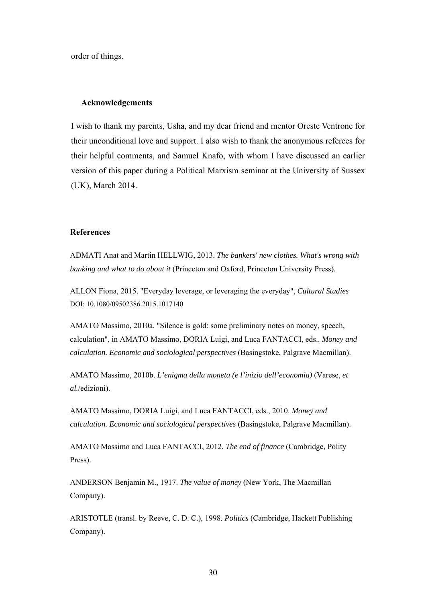order of things.

#### **Acknowledgements**

I wish to thank my parents, Usha, and my dear friend and mentor Oreste Ventrone for their unconditional love and support. I also wish to thank the anonymous referees for their helpful comments, and Samuel Knafo, with whom I have discussed an earlier version of this paper during a Political Marxism seminar at the University of Sussex (UK), March 2014.

#### **References**

ADMATI Anat and Martin HELLWIG, 2013. *The bankers' new clothes. What's wrong with banking and what to do about it* (Princeton and Oxford, Princeton University Press).

ALLON Fiona, 2015. "Everyday leverage, or leveraging the everyday", *Cultural Studies* DOI: 10.1080/09502386.2015.1017140

AMATO Massimo, 2010a. "Silence is gold: some preliminary notes on money, speech, calculation", in AMATO Massimo, DORIA Luigi, and Luca FANTACCI, eds.. *Money and calculation. Economic and sociological perspectives* (Basingstoke, Palgrave Macmillan).

AMATO Massimo, 2010b. *L'enigma della moneta (e l'inizio dell'economia)* (Varese, *et al.*/edizioni).

AMATO Massimo, DORIA Luigi, and Luca FANTACCI, eds., 2010. *Money and calculation. Economic and sociological perspectives* (Basingstoke, Palgrave Macmillan).

AMATO Massimo and Luca FANTACCI, 2012. *The end of finance* (Cambridge, Polity Press).

ANDERSON Benjamin M., 1917. *The value of money* (New York, The Macmillan Company).

ARISTOTLE (transl. by Reeve, C. D. C.), 1998. *Politics* (Cambridge, Hackett Publishing Company).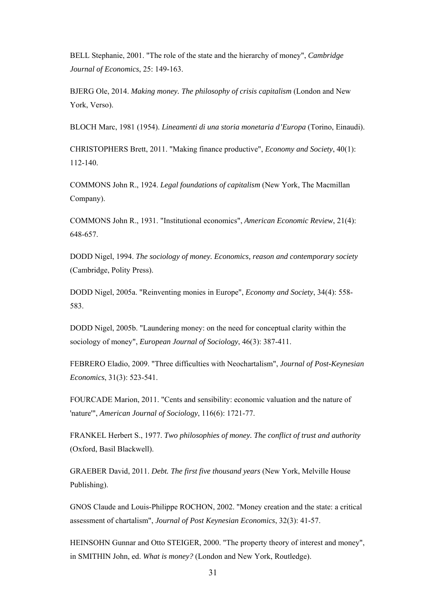BELL Stephanie, 2001. "The role of the state and the hierarchy of money", *Cambridge Journal of Economics*, 25: 149-163.

BJERG Ole, 2014. *Making money. The philosophy of crisis capitalism* (London and New York, Verso).

BLOCH Marc, 1981 (1954). *Lineamenti di una storia monetaria d'Europa* (Torino, Einaudi).

CHRISTOPHERS Brett, 2011. "Making finance productive", *Economy and Society*, 40(1): 112-140.

COMMONS John R., 1924. *Legal foundations of capitalism* (New York, The Macmillan Company).

COMMONS John R., 1931. "Institutional economics", *American Economic Review*, 21(4): 648-657.

DODD Nigel, 1994. *The sociology of money. Economics, reason and contemporary society* (Cambridge, Polity Press).

DODD Nigel, 2005a. "Reinventing monies in Europe", *Economy and Society*, 34(4): 558- 583.

DODD Nigel, 2005b. "Laundering money: on the need for conceptual clarity within the sociology of money", *European Journal of Sociology*, 46(3): 387-411.

FEBRERO Eladio, 2009. "Three difficulties with Neochartalism", *Journal of Post-Keynesian Economics*, 31(3): 523-541.

FOURCADE Marion, 2011. "Cents and sensibility: economic valuation and the nature of 'nature'", *American Journal of Sociology*, 116(6): 1721-77.

FRANKEL Herbert S., 1977. *Two philosophies of money. The conflict of trust and authority* (Oxford, Basil Blackwell).

GRAEBER David, 2011. *Debt. The first five thousand years* (New York, Melville House Publishing).

GNOS Claude and Louis-Philippe ROCHON, 2002. "Money creation and the state: a critical assessment of chartalism", *Journal of Post Keynesian Economics*, 32(3): 41-57.

HEINSOHN Gunnar and Otto STEIGER, 2000. "The property theory of interest and money", in SMITHIN John, ed. *What is money?* (London and New York, Routledge).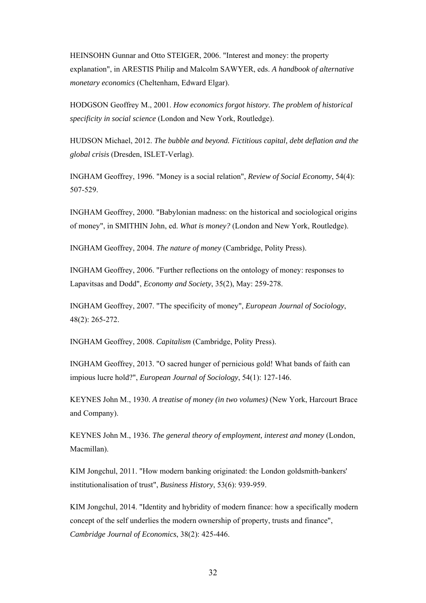HEINSOHN Gunnar and Otto STEIGER, 2006. "Interest and money: the property explanation", in ARESTIS Philip and Malcolm SAWYER, eds. *A handbook of alternative monetary economics* (Cheltenham, Edward Elgar).

HODGSON Geoffrey M., 2001. *How economics forgot history. The problem of historical specificity in social science* (London and New York, Routledge).

HUDSON Michael, 2012. *The bubble and beyond. Fictitious capital, debt deflation and the global crisis* (Dresden, ISLET-Verlag).

INGHAM Geoffrey, 1996. "Money is a social relation", *Review of Social Economy*, 54(4): 507-529.

INGHAM Geoffrey, 2000. "Babylonian madness: on the historical and sociological origins of money", in SMITHIN John, ed. *What is money?* (London and New York, Routledge).

INGHAM Geoffrey, 2004. *The nature of money* (Cambridge, Polity Press).

INGHAM Geoffrey, 2006. "Further reflections on the ontology of money: responses to Lapavitsas and Dodd", *Economy and Society*, 35(2), May: 259-278.

INGHAM Geoffrey, 2007. "The specificity of money", *European Journal of Sociology*, 48(2): 265-272.

INGHAM Geoffrey, 2008. *Capitalism* (Cambridge, Polity Press).

INGHAM Geoffrey, 2013. "O sacred hunger of pernicious gold! What bands of faith can impious lucre hold?", *European Journal of Sociology*, 54(1): 127-146.

KEYNES John M., 1930. *A treatise of money (in two volumes)* (New York, Harcourt Brace and Company).

KEYNES John M., 1936. *The general theory of employment, interest and money* (London, Macmillan).

KIM Jongchul, 2011. "How modern banking originated: the London goldsmith-bankers' institutionalisation of trust", *Business History*, 53(6): 939-959.

KIM Jongchul, 2014. "Identity and hybridity of modern finance: how a specifically modern concept of the self underlies the modern ownership of property, trusts and finance", *Cambridge Journal of Economics*, 38(2): 425-446.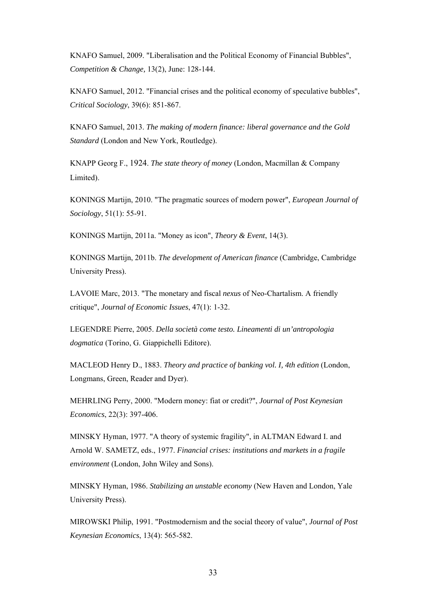KNAFO Samuel, 2009. "Liberalisation and the Political Economy of Financial Bubbles", *Competition & Change,* 13(2), June: 128-144.

KNAFO Samuel, 2012. "Financial crises and the political economy of speculative bubbles", *Critical Sociology*, 39(6): 851-867.

KNAFO Samuel, 2013. *The making of modern finance: liberal governance and the Gold Standard* (London and New York, Routledge).

KNAPP Georg F., 1924. *The state theory of money* (London, Macmillan & Company Limited).

KONINGS Martijn, 2010. "The pragmatic sources of modern power", *European Journal of Sociology*, 51(1): 55-91.

KONINGS Martijn, 2011a. "Money as icon", *Theory & Event*, 14(3).

KONINGS Martijn, 2011b. *The development of American finance* (Cambridge, Cambridge University Press).

LAVOIE Marc, 2013. "The monetary and fiscal *nexus* of Neo-Chartalism. A friendly critique", *Journal of Economic Issues*, 47(1): 1-32.

LEGENDRE Pierre, 2005. *Della società come testo. Lineamenti di un'antropologia dogmatica* (Torino, G. Giappichelli Editore).

MACLEOD Henry D., 1883. *Theory and practice of banking vol. I, 4th edition* (London, Longmans, Green, Reader and Dyer).

MEHRLING Perry, 2000. "Modern money: fiat or credit?", *Journal of Post Keynesian Economics*, 22(3): 397-406.

MINSKY Hyman, 1977. "A theory of systemic fragility", in ALTMAN Edward I. and Arnold W. SAMETZ, eds., 1977. *Financial crises: institutions and markets in a fragile environment* (London, John Wiley and Sons).

MINSKY Hyman, 1986. *Stabilizing an unstable economy* (New Haven and London, Yale University Press).

MIROWSKI Philip, 1991. "Postmodernism and the social theory of value", *Journal of Post Keynesian Economics*, 13(4): 565-582.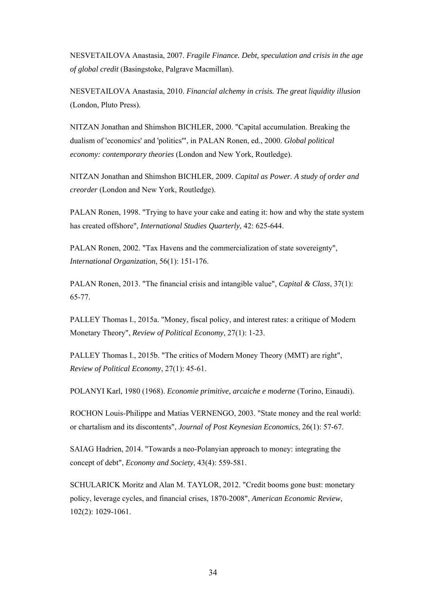NESVETAILOVA Anastasia, 2007. *Fragile Finance. Debt, speculation and crisis in the age of global credit* (Basingstoke, Palgrave Macmillan).

NESVETAILOVA Anastasia, 2010. *Financial alchemy in crisis. The great liquidity illusion* (London, Pluto Press).

NITZAN Jonathan and Shimshon BICHLER, 2000. "Capital accumulation. Breaking the dualism of 'economics' and 'politics'", in PALAN Ronen, ed., 2000. *Global political economy: contemporary theories* (London and New York, Routledge).

NITZAN Jonathan and Shimshon BICHLER, 2009. *Capital as Power. A study of order and creorder* (London and New York, Routledge).

PALAN Ronen, 1998. "Trying to have your cake and eating it: how and why the state system has created offshore", *International Studies Quarterly*, 42: 625-644.

PALAN Ronen, 2002. "Tax Havens and the commercialization of state sovereignty", *International Organization*, 56(1): 151-176.

PALAN Ronen, 2013. "The financial crisis and intangible value", *Capital & Class*, 37(1): 65-77.

PALLEY Thomas I., 2015a. "Money, fiscal policy, and interest rates: a critique of Modern Monetary Theory", *Review of Political Economy*, 27(1): 1-23.

PALLEY Thomas I., 2015b. "The critics of Modern Money Theory (MMT) are right", *Review of Political Economy*, 27(1): 45-61.

POLANYI Karl, 1980 (1968). *Economie primitive, arcaiche e moderne* (Torino, Einaudi).

ROCHON Louis-Philippe and Matias VERNENGO, 2003. "State money and the real world: or chartalism and its discontents", *Journal of Post Keynesian Economics*, 26(1): 57-67.

SAIAG Hadrien, 2014. "Towards a neo-Polanyian approach to money: integrating the concept of debt", *Economy and Society*, 43(4): 559-581.

SCHULARICK Moritz and Alan M. TAYLOR, 2012. "Credit booms gone bust: monetary policy, leverage cycles, and financial crises, 1870-2008", *American Economic Review*, 102(2): 1029-1061.